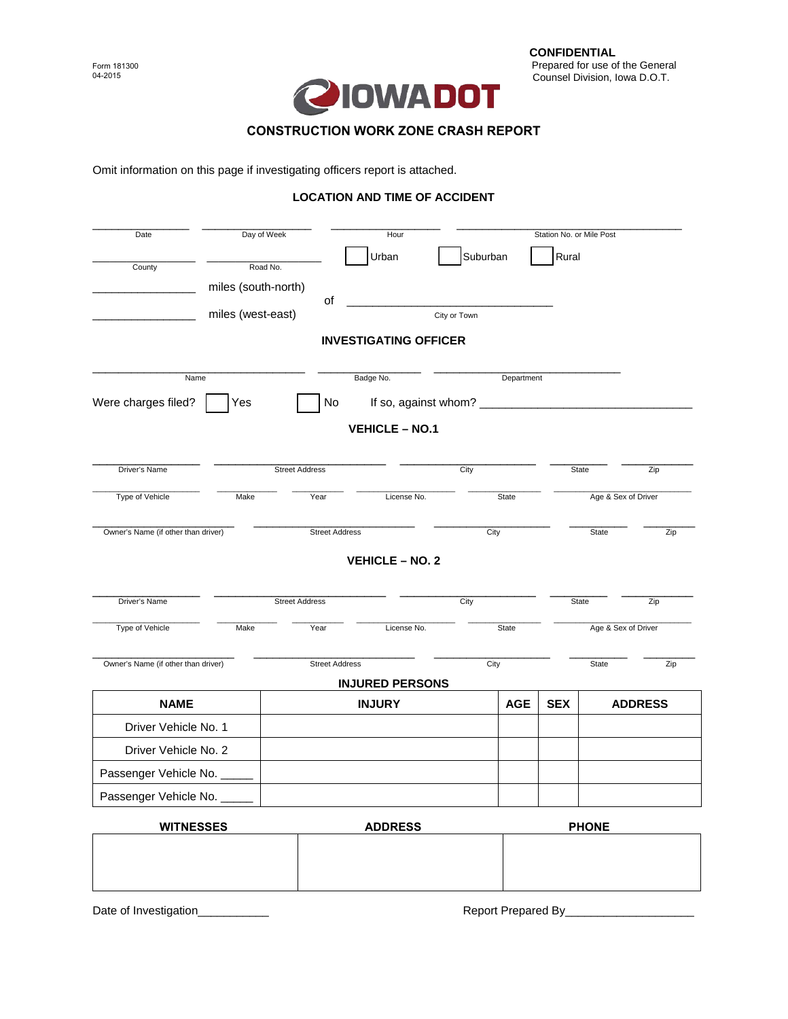

## **CONSTRUCTION WORK ZONE CRASH REPORT**

Omit information on this page if investigating officers report is attached.

## **LOCATION AND TIME OF ACCIDENT**

| Day of Week<br>Date                 |                       |                       | Hour                         |              | Station No. or Mile Post |                     |                     |                |  |
|-------------------------------------|-----------------------|-----------------------|------------------------------|--------------|--------------------------|---------------------|---------------------|----------------|--|
| County                              | Road No.              |                       | Urban                        | Suburban     |                          | Rural               |                     |                |  |
|                                     | miles (south-north)   | of                    |                              |              |                          |                     |                     |                |  |
|                                     | miles (west-east)     |                       | <b>INVESTIGATING OFFICER</b> | City or Town |                          |                     |                     |                |  |
|                                     |                       |                       |                              |              |                          |                     |                     |                |  |
| Name                                |                       |                       | Badge No.<br>Department      |              |                          |                     |                     |                |  |
| Were charges filed?                 | Yes                   | No                    |                              |              |                          |                     |                     |                |  |
|                                     |                       |                       | <b>VEHICLE - NO.1</b>        |              |                          |                     |                     |                |  |
| Driver's Name                       | <b>Street Address</b> |                       |                              |              | City                     |                     | State               |                |  |
| Type of Vehicle                     | Make                  | Year                  | License No.                  | State        |                          | Age & Sex of Driver |                     |                |  |
| Owner's Name (if other than driver) |                       | <b>Street Address</b> |                              | City         |                          |                     | <b>State</b>        |                |  |
|                                     |                       |                       | <b>VEHICLE - NO. 2</b>       |              |                          |                     |                     |                |  |
| Driver's Name                       |                       | <b>Street Address</b> | City                         |              |                          | State               |                     | Zip            |  |
| Type of Vehicle                     | Make                  | Year                  | License No.                  | State        |                          |                     | Age & Sex of Driver |                |  |
| Owner's Name (if other than driver) |                       |                       | <b>Street Address</b>        |              | City                     |                     | <b>State</b>        | Zip            |  |
|                                     |                       |                       | <b>INJURED PERSONS</b>       |              |                          |                     |                     |                |  |
| <b>NAME</b>                         |                       |                       | <b>INJURY</b>                |              | <b>AGE</b>               | <b>SEX</b>          |                     | <b>ADDRESS</b> |  |
| Driver Vehicle No. 1                |                       |                       |                              |              |                          |                     |                     |                |  |
| Driver Vehicle No. 2                |                       |                       |                              |              |                          |                     |                     |                |  |
| Passenger Vehicle No. _             |                       |                       |                              |              |                          |                     |                     |                |  |
| Passenger Vehicle No. _             |                       |                       |                              |              |                          |                     |                     |                |  |
| <b>WITNESSES</b>                    |                       | <b>ADDRESS</b>        |                              |              | <b>PHONE</b>             |                     |                     |                |  |
|                                     |                       |                       |                              |              |                          |                     |                     |                |  |

Date of Investigation\_\_\_\_\_\_\_\_\_\_\_ Report Prepared By\_\_\_\_\_\_\_\_\_\_\_\_\_\_\_\_\_\_\_\_